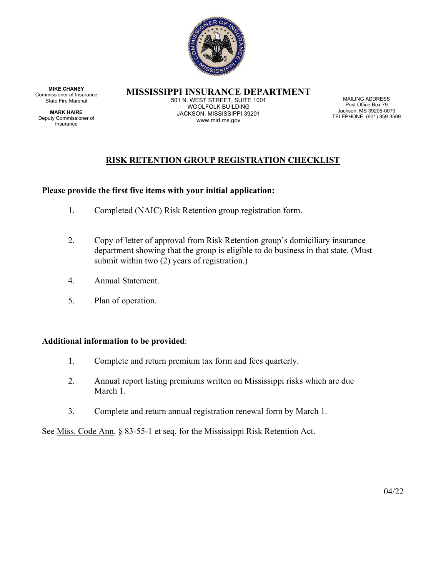

**MISSISSIPPI INSURANCE DEPARTMENT** 

**MIKE CHANEY**  Commissioner of Insurance State Fire Marshal

**MARK HAIRE**  Deputy Commissioner of Insurance

501 N. WEST STREET, SUITE 1001 WOOLFOLK BUILDING JACKSON, MISSISSIPPI 39201 www.mid.ms.gov

MAILING ADDRESS Post Office Box 79 Jackson, MS 39205-0079 TELEPHONE: (601) 359-3569

# **RISK RETENTION GROUP REGISTRATION CHECKLIST**

# **Please provide the first five items with your initial application:**

- 1. Completed (NAIC) Risk Retention group registration form.
- 2. Copy of letter of approval from Risk Retention group's domiciliary insurance department showing that the group is eligible to do business in that state. (Must submit within two (2) years of registration.)
- 4. Annual Statement.
- 5. Plan of operation.

## **Additional information to be provided**:

- 1. Complete and return premium tax form and fees quarterly.
- 2. Annual report listing premiums written on Mississippi risks which are due March 1.
- 3. Complete and return annual registration renewal form by March 1.

See Miss. Code Ann. § 83-55-1 et seq. for the Mississippi Risk Retention Act.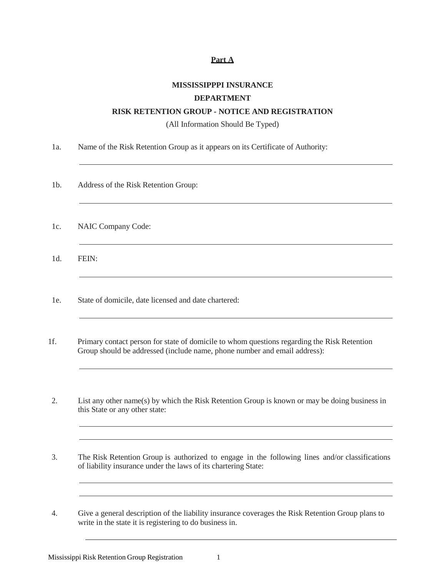## **Part A**

# **MISSISSIPPPI INSURANCE DEPARTMENT**

### **RISK RETENTION GROUP - NOTICE AND REGISTRATION**

(All Information Should Be Typed)

- 1a. Name of the Risk Retention Group as it appears on its Certificate of Authority:
- 1b. Address of the Risk Retention Group:
- 1c. NAIC Company Code:
- 1d. FEIN:
- 1e. State of domicile, date licensed and date chartered:
- 1f. Primary contact person for state of domicile to whom questions regarding the Risk Retention Group should be addressed (include name, phone number and email address):
- 2. List any other name(s) by which the Risk Retention Group is known or may be doing business in this State or any other state:
- 3. The Risk Retention Group is authorized to engage in the following lines and/or classifications of liability insurance under the laws of its chartering State:
- 4. Give a general description of the liability insurance coverages the Risk Retention Group plans to write in the state it is registering to do business in.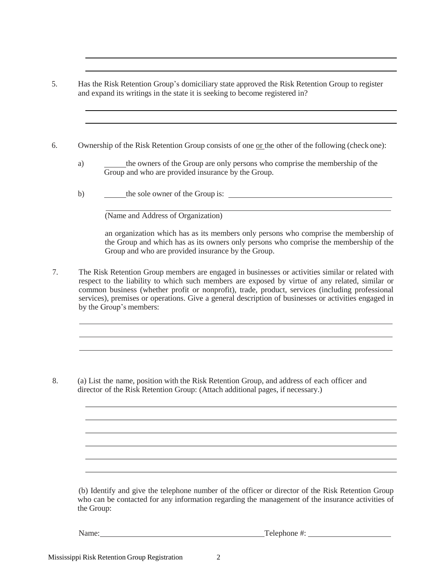- 5. Has the Risk Retention Group's domiciliary state approved the Risk Retention Group to register and expand its writings in the state it is seeking to become registered in?
- 6. Ownership of the Risk Retention Group consists of one or the other of the following (check one):
	- a) the owners of the Group are only persons who comprise the membership of the Group and who are provided insurance by the Group.
	- b) the sole owner of the Group is:

(Name and Address of Organization)

an organization which has as its members only persons who comprise the membership of the Group and which has as its owners only persons who comprise the membership of the Group and who are provided insurance by the Group.

7. The Risk Retention Group members are engaged in businesses or activities similar or related with respect to the liability to which such members are exposed by virtue of any related, similar or common business (whether profit or nonprofit), trade, product, services (including professional services), premises or operations. Give a general description of businesses or activities engaged in by the Group's members:

8. (a) List the name, position with the Risk Retention Group, and address of each officer and director of the Risk Retention Group: (Attach additional pages, if necessary.)

(b) Identify and give the telephone number of the officer or director of the Risk Retention Group who can be contacted for any information regarding the management of the insurance activities of the Group:

Name: Telephone #: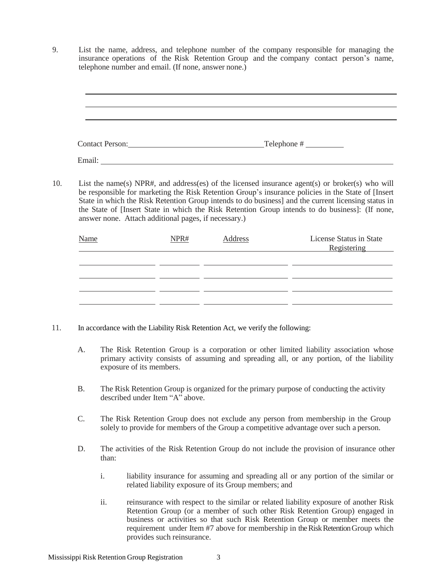9. List the name, address, and telephone number of the company responsible for managing the insurance operations of the Risk Retention Group and the company contact person's name, telephone number and email. (If none, answer none.)

Contact Person: Telephone #

- Email:
- 10. List the name(s) NPR#, and address(es) of the licensed insurance agent(s) or broker(s) who will be responsible for marketing the Risk Retention Group's insurance policies in the State of [Insert State in which the Risk Retention Group intends to do business] and the current licensing status in the State of [Insert State in which the Risk Retention Group intends to do business]: (If none, answer none. Attach additional pages, if necessary.)

| <b>Name</b> | NPR# | Address | License Status in State<br>Registering |
|-------------|------|---------|----------------------------------------|
|             |      |         |                                        |
|             |      |         |                                        |
|             |      |         |                                        |

- 11. In accordance with the Liability Risk Retention Act, we verify the following:
	- A. The Risk Retention Group is a corporation or other limited liability association whose primary activity consists of assuming and spreading all, or any portion, of the liability exposure of its members.
	- B. The Risk Retention Group is organized for the primary purpose of conducting the activity described under Item "A" above.
	- C. The Risk Retention Group does not exclude any person from membership in the Group solely to provide for members of the Group a competitive advantage over such a person.
	- D. The activities of the Risk Retention Group do not include the provision of insurance other than:
		- i. liability insurance for assuming and spreading all or any portion of the similar or related liability exposure of its Group members; and
		- ii. reinsurance with respect to the similar or related liability exposure of another Risk Retention Group (or a member of such other Risk Retention Group) engaged in business or activities so that such Risk Retention Group or member meets the requirement under Item #7 above for membership in the Risk Retention Group which provides such reinsurance.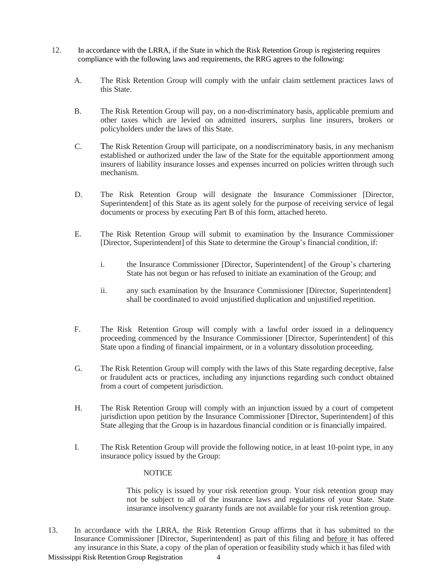- 12. In accordance with the LRRA, if the State in which the Risk Retention Group is registering requires compliance with the following laws and requirements, the RRG agrees to the following:
	- A. The Risk Retention Group will comply with the unfair claim settlement practices laws of this State.
	- B. The Risk Retention Group will pay, on a non-discriminatory basis, applicable premium and other taxes which are levied on admitted insurers, surplus line insurers, brokers or policyholders under the laws of this State.
	- C. The Risk Retention Group will participate, on a nondiscriminatory basis, in any mechanism established or authorized under the law of the State for the equitable apportionment among insurers of liability insurance losses and expenses incurred on policies written through such mechanism.
	- D. The Risk Retention Group will designate the Insurance Commissioner [Director, Superintendent] of this State as its agent solely for the purpose of receiving service of legal documents or process by executing Part B of this form, attached hereto.
	- E. The Risk Retention Group will submit to examination by the Insurance Commissioner [Director, Superintendent] of this State to determine the Group's financial condition, if:
		- i. the Insurance Commissioner [Director, Superintendent] of the Group's chartering State has not begun or has refused to initiate an examination of the Group; and
		- ii. any such examination by the Insurance Commissioner [Director, Superintendent] shall be coordinated to avoid unjustified duplication and unjustified repetition.
	- F. The Risk Retention Group will comply with a lawful order issued in a delinquency proceeding commenced by the Insurance Commissioner [Director, Superintendent] of this State upon a finding of financial impairment, or in a voluntary dissolution proceeding.
	- G. The Risk Retention Group will comply with the laws of this State regarding deceptive, false or fraudulent acts or practices, including any injunctions regarding such conduct obtained from a court of competent jurisdiction.
	- H. The Risk Retention Group will comply with an injunction issued by a court of competent jurisdiction upon petition by the Insurance Commissioner [Director, Superintendent] of this State alleging that the Group is in hazardous financial condition or is financially impaired.
	- I. The Risk Retention Group will provide the following notice, in at least 10-point type, in any insurance policy issued by the Group:

## **NOTICE**

This policy is issued by your risk retention group. Your risk retention group may not be subject to all of the insurance laws and regulations of your State. State insurance insolvency guaranty funds are not available for your risk retention group.

13. In accordance with the LRRA, the Risk Retention Group affirms that it has submitted to the Insurance Commissioner [Director, Superintendent] as part of this filing and before it has offered any insurance in this State, a copy of the plan of operation or feasibility study which it has filed with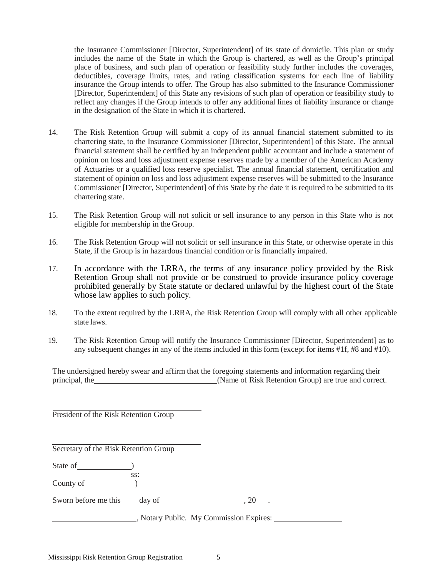the Insurance Commissioner [Director, Superintendent] of its state of domicile. This plan or study includes the name of the State in which the Group is chartered, as well as the Group's principal place of business, and such plan of operation or feasibility study further includes the coverages, deductibles, coverage limits, rates, and rating classification systems for each line of liability insurance the Group intends to offer. The Group has also submitted to the Insurance Commissioner [Director, Superintendent] of this State any revisions of such plan of operation or feasibility study to reflect any changes if the Group intends to offer any additional lines of liability insurance or change in the designation of the State in which it is chartered.

- 14. The Risk Retention Group will submit a copy of its annual financial statement submitted to its chartering state, to the Insurance Commissioner [Director, Superintendent] of this State. The annual financial statement shall be certified by an independent public accountant and include a statement of opinion on loss and loss adjustment expense reserves made by a member of the American Academy of Actuaries or a qualified loss reserve specialist. The annual financial statement, certification and statement of opinion on loss and loss adjustment expense reserves will be submitted to the Insurance Commissioner [Director, Superintendent] of this State by the date it is required to be submitted to its chartering state.
- 15. The Risk Retention Group will not solicit or sell insurance to any person in this State who is not eligible for membership in the Group.
- 16. The Risk Retention Group will not solicit or sell insurance in this State, or otherwise operate in this State, if the Group is in hazardous financial condition or is financially impaired.
- 17. In accordance with the LRRA, the terms of any insurance policy provided by the Risk Retention Group shall not provide or be construed to provide insurance policy coverage prohibited generally by State statute or declared unlawful by the highest court of the State whose law applies to such policy.
- 18. To the extent required by the LRRA, the Risk Retention Group will comply with all other applicable state laws.
- 19. The Risk Retention Group will notify the Insurance Commissioner [Director, Superintendent] as to any subsequent changes in any of the items included in this form (except for items #1f, #8 and #10).

The undersigned hereby swear and affirm that the foregoing statements and information regarding their principal, the (Name of Risk Retention Group) are true and correct.

President of the Risk Retention Group

Secretary of the Risk Retention Group

State of <u>state of</u> and the state of the state of the state of the state of the state of the state of the state of the state of the state of the state of the state of the state of the state of the state of the state of the

ss: County of  $\qquad \qquad$  )

Sworn before me this day of 30 and 20 ...

, Notary Public. My Commission Expires: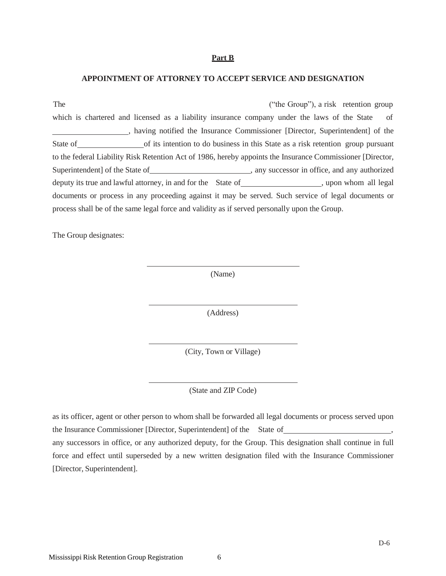#### **Part B**

#### **APPOINTMENT OF ATTORNEY TO ACCEPT SERVICE AND DESIGNATION**

The ("the Group"), a risk retention group which is chartered and licensed as a liability insurance company under the laws of the State of , having notified the Insurance Commissioner [Director, Superintendent] of the State of <u>of</u> its intention to do business in this State as a risk retention group pursuant to the federal Liability Risk Retention Act of 1986, hereby appoints the Insurance Commissioner [Director, Superintendent] of the State of , any successor in office, and any authorized deputy its true and lawful attorney, in and for the State of , upon whom all legal documents or process in any proceeding against it may be served. Such service of legal documents or process shall be of the same legal force and validity as if served personally upon the Group.

The Group designates:

(Name)

(Address)

(City, Town or Village)

(State and ZIP Code)

as its officer, agent or other person to whom shall be forwarded all legal documents or process served upon the Insurance Commissioner [Director, Superintendent] of the State of , any successors in office, or any authorized deputy, for the Group. This designation shall continue in full force and effect until superseded by a new written designation filed with the Insurance Commissioner [Director, Superintendent].